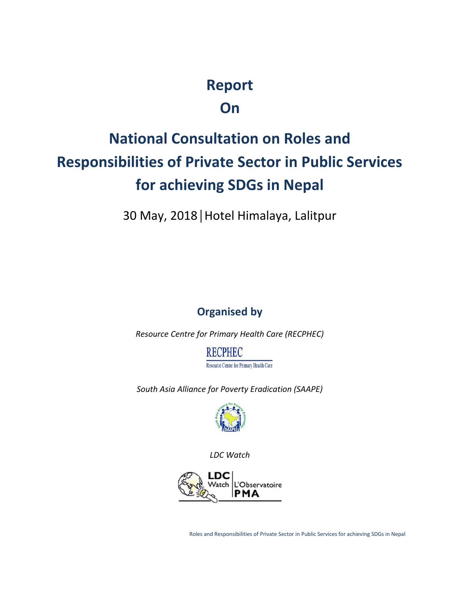# **Report**

**On**

# **National Consultation on Roles and Responsibilities of Private Sector in Public Services for achieving SDGs in Nepal**

30 May, 2018│Hotel Himalaya, Lalitpur

# **Organised by**

*Resource Centre for Primary Health Care (RECPHEC)*

**RECPHEC** Resource Centre for Primary Health Care

*South Asia Alliance for Poverty Eradication (SAAPE)*



*LDC Watch*

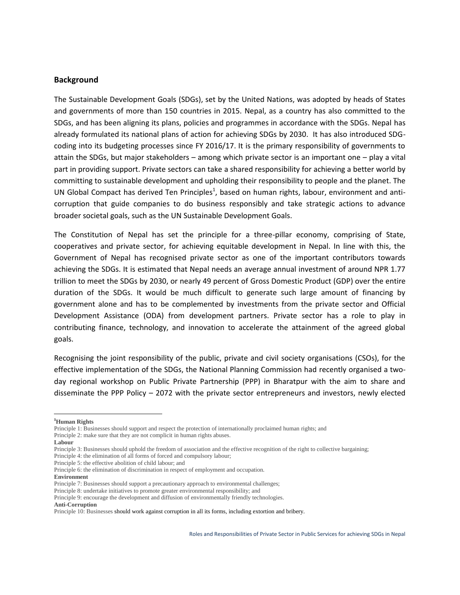#### **Background**

The Sustainable Development Goals (SDGs), set by the United Nations, was adopted by heads of States and governments of more than 150 countries in 2015. Nepal, as a country has also committed to the SDGs, and has been aligning its plans, policies and programmes in accordance with the SDGs. Nepal has already formulated its national plans of action for achieving SDGs by 2030. It has also introduced SDG coding into its budgeting processes since FY 2016/17. It is the primary responsibility of governments to attain the SDGs, but major stakeholders – among which private sector is an important one – play a vital part in providing support. Private sectors can take a shared responsibility for achieving a better world by committing to sustainable development and upholding their responsibility to people and the planet. The UN Global Compact has derived Ten Principles<sup>1</sup>, based on human rights, labour, environment and anticorruption that guide companies to do business responsibly and take strategic actions to advance broader societal goals, such as the UN Sustainable Development Goals.

The Constitution of Nepal has set the principle for a three-pillar economy, comprising of State, cooperatives and private sector, for achieving equitable development in Nepal. In line with this, the Government of Nepal has recognised private sector as one of the important contributors towards achieving the SDGs. It is estimated that Nepal needs an average annual investment of around NPR 1.77 trillion to meet the SDGs by 2030, or nearly 49 percent of Gross Domestic Product (GDP) over the entire duration of the SDGs. It would be much difficult to generate such large amount of financing by government alone and has to be complemented by investments from the private sector and Official Development Assistance (ODA) from development partners. Private sector has a role to play in contributing finance, technology, and innovation to accelerate the attainment of the agreed global goals.

Recognising the joint responsibility of the public, private and civil society organisations (CSOs), for the effective implementation of the SDGs, the National Planning Commission had recently organised a two day regional workshop on Public Private Partnership (PPP) in Bharatpur with the aim to share and disseminate the PPP Policy – 2072 with the private sector entrepreneurs and investors, newly elected

Principle 5: the effective abolition of child labour; and

**Environment**

**Anti-Corruption**

**<sup>1</sup>Human Rights**

Principle 1: Businesses should support and respect the protection of internationally proclaimed human rights; and

Principle 2: make sure that they are not complicit in human rights abuses.

**Labour**

Principle 3: Businesses should uphold the freedom of association and the effective recognition of the right to collective bargaining;

Principle 4: the elimination of all forms of forced and compulsory labour;

Principle 6: the elimination of discrimination in respect of employment and occupation.

Principle 7: Businesses should support a precautionary approach to environmental challenges;

Principle 8: undertake initiatives to promote greater environmental responsibility; and

Principle 9: encourage the development and diffusion of environmentally friendly technologies.

Principle 10: Businesses should work against corruption in all its forms, including extortion and bribery.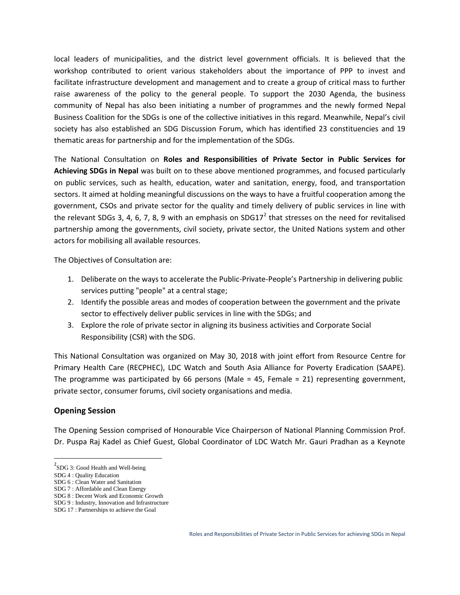local leaders of municipalities, and the district level government officials. It is believed that the workshop contributed to orient various stakeholders about the importance of PPP to invest and facilitate infrastructure development and management and to create a group of critical mass to further raise awareness of the policy to the general people. To support the 2030 Agenda, the business community of Nepal has also been initiating a number of programmes and the newly formed Nepal Business Coalition for the SDGs is one of the collective initiatives in this regard. Meanwhile, Nepal's civil society has also established an SDG Discussion Forum, which has identified 23 constituencies and 19 thematic areas for partnership and for the implementation of the SDGs.

The National Consultation on **Roles and Responsibilities of Private Sector in Public Services for Achieving SDGs in Nepal** was built on to these above mentioned programmes, and focused particularly on public services, such as health, education, water and sanitation, energy, food, and transportation sectors. It aimed at holding meaningful discussions on the ways to have a fruitful cooperation among the government, CSOs and private sector for the quality and timely delivery of public services in line with the relevant SDGs 3, 4, 6, 7, 8, 9 with an emphasis on SDG17<sup>2</sup> that stresses on the need for revitalised partnership among the governments, civil society, private sector, the United Nations system and other actors for mobilising all available resources.

The Objectives of Consultation are:

- 1. Deliberate on the ways to accelerate the Public-Private-People's Partnership in delivering public services putting "people" at a central stage;
- 2. Identify the possible areas and modes of cooperation between the government and the private sector to effectively deliver public services in line with the SDGs; and
- 3. Explore the role of private sector in aligning its business activities and Corporate Social Responsibility (CSR) with the SDG.

This National Consultation was organized on May 30, 2018 with joint effort from Resource Centre for Primary Health Care (RECPHEC), LDC Watch and South Asia Alliance for Poverty Eradication (SAAPE). The programme was participated by 66 persons (Male = 45, Female = 21) representing government, private sector, consumer forums, civil society organisations and media.

#### **Opening Session**

The Opening Session comprised of Honourable Vice Chairperson of National Planning Commission Prof. Dr. Puspa Raj Kadel as Chief Guest, Global Coordinator of LDC Watch Mr. Gauri Pradhan as a Keynote

 ${}^{2}$ SDG 3: Good Health and Well-being

SDG 4 : Quality Education

SDG 6 : Clean Water and Sanitation

SDG 7 : Affordable and Clean Energy

SDG 8 : Decent Work and Economic Growth

SDG 9 : Industry, Innovation and Infrastructure

SDG 17 : Partnerships to achieve the Goal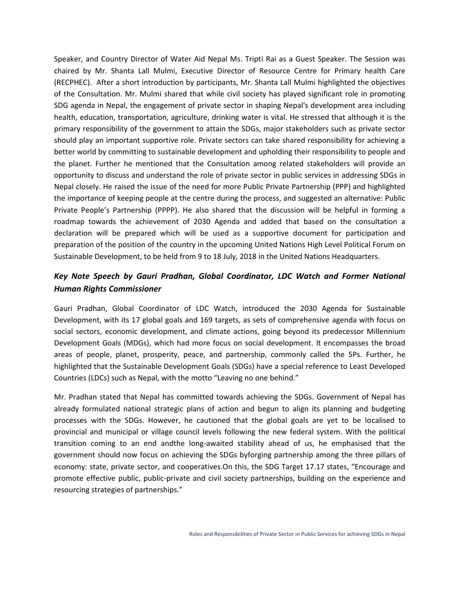Speaker, and Country Director of Water Aid Nepal Ms. Tripti Rai as a Guest Speaker. The Session was chaired by Mr. Shanta Lall Mulmi, Executive Director of Resource Centre for Primary health Care (RECPHEC). After a short introduction by participants, Mr. Shanta Lall Mulmi highlighted the objectives of the Consultation. Mr. Mulmi shared that while civil society has played significant role in promoting SDG agenda in Nepal, the engagement of private sector in shaping Nepal's development area including health, education, transportation, agriculture, drinking water is vital. He stressed that although it is the primary responsibility of the government to attain the SDGs, major stakeholders such as private sector should play an important supportive role. Private sectors can take shared responsibility for achieving a better world by committing to sustainable development and upholding their responsibility to people and the planet. Further he mentioned that the Consultation among related stakeholders will provide an opportunity to discuss and understand the role of private sector in public services in addressing SDGs in Nepal closely. He raised the issue of the need for more Public Private Partnership (PPP) and highlighted the importance of keeping people at the centre during the process, and suggested an alternative: Public Private People's Partnership (PPPP). He also shared that the discussion will be helpful in forming a roadmap towards the achievement of 2030 Agenda and added that based on the consultation a declaration will be prepared which will be used as a supportive document for participation and preparation of the position of the country in the upcoming United Nations High Level Political Forum on Sustainable Development, to be held from 9 to 18 July, 2018 in the United Nations Headquarters.

## *Key Note Speech by Gauri Pradhan, Global Coordinator, LDC Watch and Former National Human Rights Commissioner*

Gauri Pradhan, Global Coordinator of LDC Watch, introduced the 2030 Agenda for Sustainable Development, with its 17 global goals and 169 targets, as sets of comprehensive agenda with focus on social sectors, economic development, and climate actions, going beyond its predecessor Millennium Development Goals (MDGs), which had more focus on social development. It encompasses the broad areas of people, planet, prosperity, peace, and partnership, commonly called the 5Ps. Further, he highlighted that the Sustainable Development Goals (SDGs) have a special reference to Least Developed Countries (LDCs) such as Nepal, with the motto "Leaving no one behind."

Mr. Pradhan stated that Nepal has committed towards achieving the SDGs. Government of Nepal has already formulated national strategic plans of action and begun to align its planning and budgeting processes with the SDGs. However, he cautioned that the global goals are yet to be localised to provincial and municipal or village council levels following the new federal system. With the political transition coming to an end andthe long-awaited stability ahead of us, he emphasised that the government should now focus on achieving the SDGs byforging partnership among the three pillars of economy: state, private sector, and cooperatives.On this, the SDG Target 17.17 states, "Encourage and promote effective public, public-private and civil society partnerships, building on the experience and resourcing strategies of partnerships."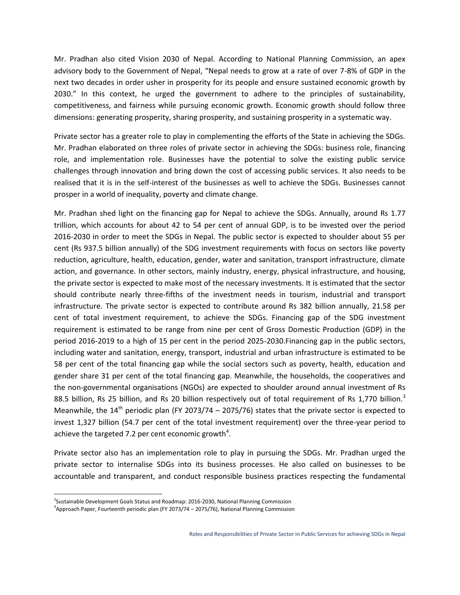Mr. Pradhan also cited Vision 2030 of Nepal. According to National Planning Commission, an apex advisory body to the Government of Nepal, "Nepal needs to grow at a rate of over 7-8% of GDP in the next two decades in order usher in prosperity for its people and ensure sustained economic growth by 2030." In this context, he urged the government to adhere to the principles of sustainability, competitiveness, and fairness while pursuing economic growth. Economic growth should follow three dimensions: generating prosperity, sharing prosperity, and sustaining prosperity in a systematic way.

Private sector has a greater role to play in complementing the efforts of the State in achieving the SDGs. Mr. Pradhan elaborated on three roles of private sector in achieving the SDGs: business role, financing role, and implementation role. Businesses have the potential to solve the existing public service challenges through innovation and bring down the cost of accessing public services. It also needs to be realised that it is in the self-interest of the businesses as well to achieve the SDGs. Businesses cannot prosper in a world of inequality, poverty and climate change.

Mr. Pradhan shed light on the financing gap for Nepal to achieve the SDGs. Annually, around Rs 1.77 trillion, which accounts for about 42 to 54 per cent of annual GDP, is to be invested over the period 2016-2030 in order to meet the SDGs in Nepal. The public sector is expected to shoulder about 55 per cent (Rs 937.5 billion annually) of the SDG investment requirements with focus on sectors like poverty reduction, agriculture, health, education, gender, water and sanitation, transport infrastructure, climate action, and governance. In other sectors, mainly industry, energy, physical infrastructure, and housing, the private sector is expected to make most of the necessary investments. It is estimated that the sector should contribute nearly three-fifths of the investment needs in tourism, industrial and transport infrastructure. The private sector is expected to contribute around Rs 382 billion annually, 21.58 per cent of total investment requirement, to achieve the SDGs. Financing gap of the SDG investment requirement is estimated to be range from nine per cent of Gross Domestic Production (GDP) in the period 2016-2019 to a high of 15 per cent in the period 2025-2030.Financing gap in the public sectors, including water and sanitation, energy, transport, industrial and urban infrastructure is estimated to be 58 per cent of the total financing gap while the social sectors such as poverty, health, education and gender share 31 per cent of the total financing gap. Meanwhile, the households, the cooperatives and the non-governmental organisations (NGOs) are expected to shoulder around annual investment of Rs 88.5 billion, Rs 25 billion, and Rs 20 billion respectively out of total requirement of Rs 1,770 billion.<sup>3</sup> Meanwhile, the  $14^{\text{th}}$  periodic plan (FY 2073/74 – 2075/76) states that the private sector is expected to invest 1,327 billion (54.7 per cent of the total investment requirement) over the three-year period to achieve the targeted 7.2 per cent economic growth $^4$ .

Private sector also has an implementation role to play in pursuing the SDGs. Mr. Pradhan urged the private sector to internalise SDGs into its business processes. He also called on businesses to be accountable and transparent, and conduct responsible business practices respecting the fundamental

<sup>&</sup>lt;sup>3</sup>Sustainable Development Goals Status and Roadmap: 2016-2030, National Planning Commission

 $4$ Approach Paper, Fourteenth periodic plan (FY 2073/74 – 2075/76), National Planning Commission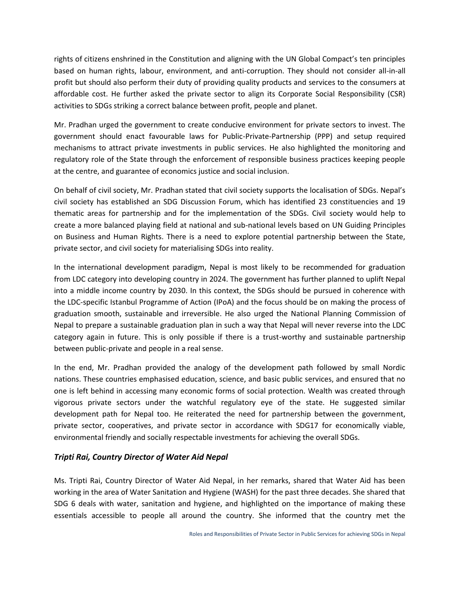rights of citizens enshrined in the Constitution and aligning with the UN Global Compact's ten principles based on human rights, labour, environment, and anti-corruption. They should not consider all-in-all profit but should also perform their duty of providing quality products and services to the consumers at affordable cost. He further asked the private sector to align its Corporate Social Responsibility (CSR) activities to SDGs striking a correct balance between profit, people and planet.

Mr. Pradhan urged the government to create conducive environment for private sectors to invest. The government should enact favourable laws for Public-Private-Partnership (PPP) and setup required mechanisms to attract private investments in public services. He also highlighted the monitoring and regulatory role of the State through the enforcement of responsible business practices keeping people at the centre, and guarantee of economics justice and social inclusion.

On behalf of civil society, Mr. Pradhan stated that civil society supports the localisation of SDGs. Nepal's civil society has established an SDG Discussion Forum, which has identified 23 constituencies and 19 thematic areas for partnership and for the implementation of the SDGs. Civil society would help to create a more balanced playing field at national and sub-national levels based on UN Guiding Principles on Business and Human Rights. There is a need to explore potential partnership between the State, private sector, and civil society for materialising SDGs into reality.

In the international development paradigm, Nepal is most likely to be recommended for graduation from LDC category into developing country in 2024. The government has further planned to uplift Nepal into a middle income country by 2030. In this context, the SDGs should be pursued in coherence with the LDC-specific Istanbul Programme of Action (IPoA) and the focus should be on making the process of graduation smooth, sustainable and irreversible. He also urged the National Planning Commission of Nepal to prepare a sustainable graduation plan in such a way that Nepal will never reverse into the LDC category again in future. This is only possible if there is a trust-worthy and sustainable partnership between public-private and people in a real sense.

In the end, Mr. Pradhan provided the analogy of the development path followed by small Nordic nations. These countries emphasised education, science, and basic public services, and ensured that no one is left behind in accessing many economic forms of social protection. Wealth was created through vigorous private sectors under the watchful regulatory eye of the state. He suggested similar development path for Nepal too. He reiterated the need for partnership between the government, private sector, cooperatives, and private sector in accordance with SDG17 for economically viable, environmental friendly and socially respectable investments for achieving the overall SDGs.

#### *Tripti Rai, Country Director of Water Aid Nepal*

Ms. Tripti Rai, Country Director of Water Aid Nepal, in her remarks, shared that Water Aid has been working in the area of Water Sanitation and Hygiene (WASH) for the past three decades. She shared that SDG 6 deals with water, sanitation and hygiene, and highlighted on the importance of making these essentials accessible to people all around the country. She informed that the country met the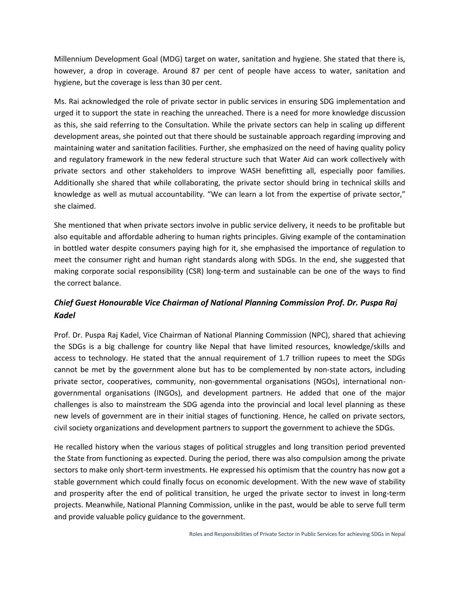Millennium Development Goal (MDG) target on water, sanitation and hygiene. She stated that there is, however, a drop in coverage. Around 87 per cent of people have access to water, sanitation and hygiene, but the coverage is less than 30 per cent.

Ms. Rai acknowledged the role of private sector in public services in ensuring SDG implementation and urged it to support the state in reaching the unreached. There is a need for more knowledge discussion as this, she said referring to the Consultation. While the private sectors can help in scaling up different development areas, she pointed out that there should be sustainable approach regarding improving and maintaining water and sanitation facilities. Further, she emphasized on the need of having quality policy and regulatory framework in the new federal structure such that Water Aid can work collectively with private sectors and other stakeholders to improve WASH benefitting all, especially poor families. Additionally she shared that while collaborating, the private sector should bring in technical skills and knowledge as well as mutual accountability. "We can learn a lot from the expertise of private sector," she claimed.

She mentioned that when private sectors involve in public service delivery, it needs to be profitable but also equitable and affordable adhering to human rights principles. Giving example of the contamination in bottled water despite consumers paying high for it, she emphasised the importance of regulation to meet the consumer right and human right standards along with SDGs. In the end, she suggested that making corporate social responsibility (CSR) long-term and sustainable can be one of the ways to find the correct balance.

## *Chief Guest Honourable Vice Chairman of National Planning Commission Prof. Dr. Puspa Raj Kadel*

Prof. Dr. Puspa Raj Kadel, Vice Chairman of National Planning Commission (NPC), shared that achieving the SDGs is a big challenge for country like Nepal that have limited resources, knowledge/skills and access to technology. He stated that the annual requirement of 1.7 trillion rupees to meet the SDGs cannot be met by the government alone but has to be complemented by non-state actors, including private sector, cooperatives, community, non-governmental organisations (NGOs), international non governmental organisations (INGOs), and development partners. He added that one of the major challenges is also to mainstream the SDG agenda into the provincial and local level planning as these new levels of government are in their initial stages of functioning. Hence, he called on private sectors, civil society organizations and development partners to support the government to achieve the SDGs.

He recalled history when the various stages of political struggles and long transition period prevented the State from functioning as expected. During the period, there was also compulsion among the private sectors to make only short-term investments. He expressed his optimism that the country has now got a stable government which could finally focus on economic development. With the new wave of stability and prosperity after the end of political transition, he urged the private sector to invest in long-term projects. Meanwhile, National Planning Commission, unlike in the past, would be able to serve full term and provide valuable policy guidance to the government.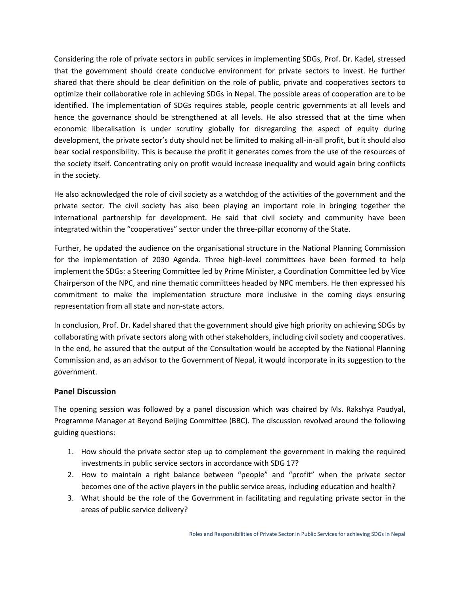Considering the role of private sectors in public services in implementing SDGs, Prof. Dr. Kadel, stressed that the government should create conducive environment for private sectors to invest. He further shared that there should be clear definition on the role of public, private and cooperatives sectors to optimize their collaborative role in achieving SDGs in Nepal. The possible areas of cooperation are to be identified. The implementation of SDGs requires stable, people centric governments at all levels and hence the governance should be strengthened at all levels. He also stressed that at the time when economic liberalisation is under scrutiny globally for disregarding the aspect of equity during development, the private sector's duty should not be limited to making all-in-all profit, but it should also bear social responsibility. This is because the profit it generates comes from the use of the resources of the society itself. Concentrating only on profit would increase inequality and would again bring conflicts in the society.

He also acknowledged the role of civil society as a watchdog of the activities of the government and the private sector. The civil society has also been playing an important role in bringing together the international partnership for development. He said that civil society and community have been integrated within the "cooperatives" sector under the three-pillar economy of the State.

Further, he updated the audience on the organisational structure in the National Planning Commission for the implementation of 2030 Agenda. Three high-level committees have been formed to help implement the SDGs: a Steering Committee led by Prime Minister, a Coordination Committee led by Vice Chairperson of the NPC, and nine thematic committees headed by NPC members. He then expressed his commitment to make the implementation structure more inclusive in the coming days ensuring representation from all state and non-state actors.

In conclusion, Prof. Dr. Kadel shared that the government should give high priority on achieving SDGs by collaborating with private sectors along with other stakeholders, including civil society and cooperatives. In the end, he assured that the output of the Consultation would be accepted by the National Planning Commission and, as an advisor to the Government of Nepal, it would incorporate in its suggestion to the government.

#### **Panel Discussion**

The opening session was followed by a panel discussion which was chaired by Ms. Rakshya Paudyal, Programme Manager at Beyond Beijing Committee (BBC). The discussion revolved around the following guiding questions:

- 1. How should the private sector step up to complement the government in making the required investments in public service sectors in accordance with SDG 17?
- 2. How to maintain a right balance between "people" and "profit" when the private sector becomes one of the active players in the public service areas, including education and health?
- 3. What should be the role of the Government in facilitating and regulating private sector in the areas of public service delivery?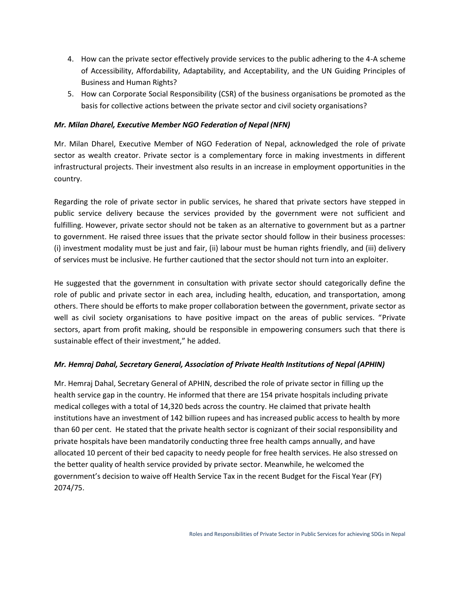- 4. How can the private sector effectively provide services to the public adhering to the 4-A scheme of Accessibility, Affordability, Adaptability, and Acceptability, and the UN Guiding Principles of Business and Human Rights?
- 5. How can Corporate Social Responsibility (CSR) of the business organisations be promoted as the basis for collective actions between the private sector and civil society organisations?

#### *Mr. Milan Dharel, Executive Member NGO Federation of Nepal (NFN)*

Mr. Milan Dharel, Executive Member of NGO Federation of Nepal, acknowledged the role of private sector as wealth creator. Private sector is a complementary force in making investments in different infrastructural projects. Their investment also results in an increase in employment opportunities in the country.

Regarding the role of private sector in public services, he shared that private sectors have stepped in public service delivery because the services provided by the government were not sufficient and fulfilling. However, private sector should not be taken as an alternative to government but as a partner to government. He raised three issues that the private sector should follow in their business processes: (i) investment modality must be just and fair, (ii) labour must be human rights friendly, and (iii) delivery of services must be inclusive. He further cautioned that the sector should not turn into an exploiter.

He suggested that the government in consultation with private sector should categorically define the role of public and private sector in each area, including health, education, and transportation, among others. There should be efforts to make proper collaboration between the government, private sector as well as civil society organisations to have positive impact on the areas of public services. "Private sectors, apart from profit making, should be responsible in empowering consumers such that there is sustainable effect of their investment," he added.

#### *Mr. Hemraj Dahal, Secretary General, Association of Private Health Institutions of Nepal (APHIN)*

Mr. Hemraj Dahal, Secretary General of APHIN, described the role of private sector in filling up the health service gap in the country. He informed that there are 154 private hospitals including private medical colleges with a total of 14,320 beds across the country. He claimed that private health institutions have an investment of 142 billion rupees and has increased public access to health by more than 60 per cent. He stated that the private health sector is cognizant of their social responsibility and private hospitals have been mandatorily conducting three free health camps annually, and have allocated 10 percent of their bed capacity to needy people for free health services. He also stressed on the better quality of health service provided by private sector. Meanwhile, he welcomed the government's decision to waive off Health Service Tax in the recent Budget for the Fiscal Year (FY) 2074/75.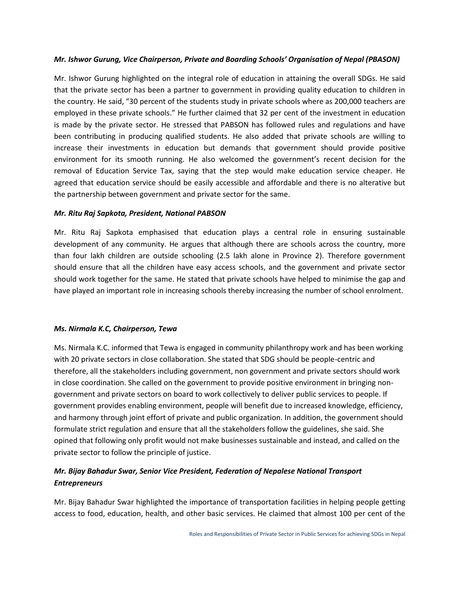#### *Mr. Ishwor Gurung, Vice Chairperson, Private and Boarding Schools' Organisation of Nepal (PBASON)*

Mr. Ishwor Gurung highlighted on the integral role of education in attaining the overall SDGs. He said that the private sector has been a partner to government in providing quality education to children in the country. He said, "30 percent of the students study in private schools where as 200,000 teachers are employed in these private schools." He further claimed that 32 per cent of the investment in education is made by the private sector. He stressed that PABSON has followed rules and regulations and have been contributing in producing qualified students. He also added that private schools are willing to increase their investments in education but demands that government should provide positive environment for its smooth running. He also welcomed the government's recent decision for the removal of Education Service Tax, saying that the step would make education service cheaper. He agreed that education service should be easily accessible and affordable and there is no alterative but the partnership between government and private sector for the same.

#### *Mr. Ritu Raj Sapkota, President, National PABSON*

Mr. Ritu Raj Sapkota emphasised that education plays a central role in ensuring sustainable development of any community. He argues that although there are schools across the country, more than four lakh children are outside schooling (2.5 lakh alone in Province 2). Therefore government should ensure that all the children have easy access schools, and the government and private sector should work together for the same. He stated that private schools have helped to minimise the gap and have played an important role in increasing schools thereby increasing the number of school enrolment.

#### *Ms. Nirmala K.C, Chairperson, Tewa*

Ms. Nirmala K.C. informed that Tewa is engaged in community philanthropy work and has been working with 20 private sectors in close collaboration. She stated that SDG should be people-centric and therefore, all the stakeholders including government, non government and private sectors should work in close coordination. She called on the government to provide positive environment in bringing non government and private sectors on board to work collectively to deliver public services to people. If government provides enabling environment, people will benefit due to increased knowledge, efficiency, and harmony through joint effort of private and public organization. In addition, the government should formulate strict regulation and ensure that all the stakeholders follow the guidelines, she said. She opined that following only profit would not make businesses sustainable and instead, and called on the private sector to follow the principle of justice.

## *Mr. Bijay Bahadur Swar, Senior Vice President, Federation of Nepalese National Transport Entrepreneurs*

Mr. Bijay Bahadur Swar highlighted the importance of transportation facilities in helping people getting access to food, education, health, and other basic services. He claimed that almost 100 per cent of the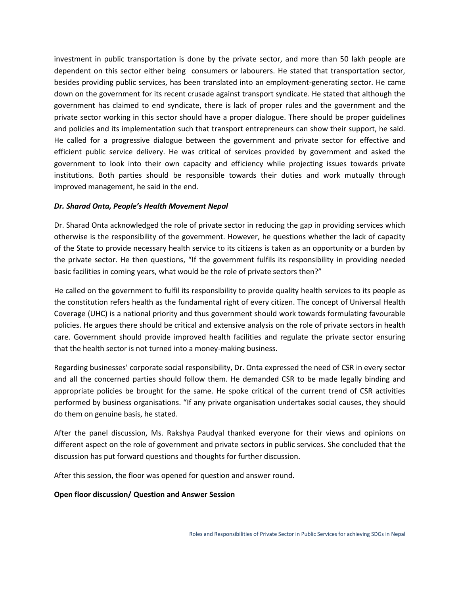investment in public transportation is done by the private sector, and more than 50 lakh people are dependent on this sector either being consumers or labourers. He stated that transportation sector, besides providing public services, has been translated into an employment-generating sector. He came down on the government for its recent crusade against transport syndicate. He stated that although the government has claimed to end syndicate, there is lack of proper rules and the government and the private sector working in this sector should have a proper dialogue. There should be proper guidelines and policies and its implementation such that transport entrepreneurs can show their support, he said. He called for a progressive dialogue between the government and private sector for effective and efficient public service delivery. He was critical of services provided by government and asked the government to look into their own capacity and efficiency while projecting issues towards private institutions. Both parties should be responsible towards their duties and work mutually through improved management, he said in the end.

#### *Dr. Sharad Onta, People's Health Movement Nepal*

Dr. Sharad Onta acknowledged the role of private sector in reducing the gap in providing services which otherwise is the responsibility of the government. However, he questions whether the lack of capacity of the State to provide necessary health service to its citizens is taken as an opportunity or a burden by the private sector. He then questions, "If the government fulfils its responsibility in providing needed basic facilities in coming years, what would be the role of private sectors then?"

He called on the government to fulfil its responsibility to provide quality health services to its people as the constitution refers health as the fundamental right of every citizen. The concept of Universal Health Coverage (UHC) is a national priority and thus government should work towards formulating favourable policies. He argues there should be critical and extensive analysis on the role of private sectors in health care. Government should provide improved health facilities and regulate the private sector ensuring that the health sector is not turned into a money-making business.

Regarding businesses' corporate social responsibility, Dr. Onta expressed the need of CSR in every sector and all the concerned parties should follow them. He demanded CSR to be made legally binding and appropriate policies be brought for the same. He spoke critical of the current trend of CSR activities performed by business organisations. "If any private organisation undertakes social causes, they should do them on genuine basis, he stated.

After the panel discussion, Ms. Rakshya Paudyal thanked everyone for their views and opinions on different aspect on the role of government and private sectors in public services. She concluded that the discussion has put forward questions and thoughts for further discussion.

After this session, the floor was opened for question and answer round.

#### **Open floor discussion/ Question and Answer Session**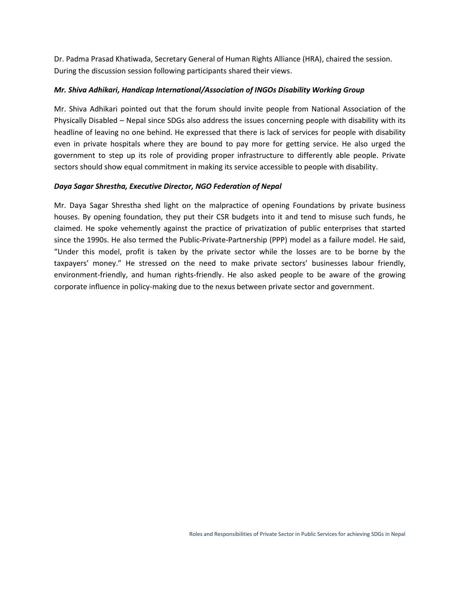Dr. Padma Prasad Khatiwada, Secretary General of Human Rights Alliance (HRA), chaired the session. During the discussion session following participants shared their views.

#### *Mr. Shiva Adhikari, Handicap International/Association of INGOs Disability Working Group*

Mr. Shiva Adhikari pointed out that the forum should invite people from National Association of the Physically Disabled – Nepal since SDGs also address the issues concerning people with disability with its headline of leaving no one behind. He expressed that there is lack of services for people with disability even in private hospitals where they are bound to pay more for getting service. He also urged the government to step up its role of providing proper infrastructure to differently able people. Private sectors should show equal commitment in making its service accessible to people with disability.

#### *Daya Sagar Shrestha, Executive Director, NGO Federation of Nepal*

Mr. Daya Sagar Shrestha shed light on the malpractice of opening Foundations by private business houses. By opening foundation, they put their CSR budgets into it and tend to misuse such funds, he claimed. He spoke vehemently against the practice of privatization of public enterprises that started since the 1990s. He also termed the Public-Private-Partnership (PPP) model as a failure model. He said, "Under this model, profit is taken by the private sector while the losses are to be borne by the taxpayers' money." He stressed on the need to make private sectors' businesses labour friendly, environment-friendly, and human rights-friendly. He also asked people to be aware of the growing corporate influence in policy-making due to the nexus between private sector and government.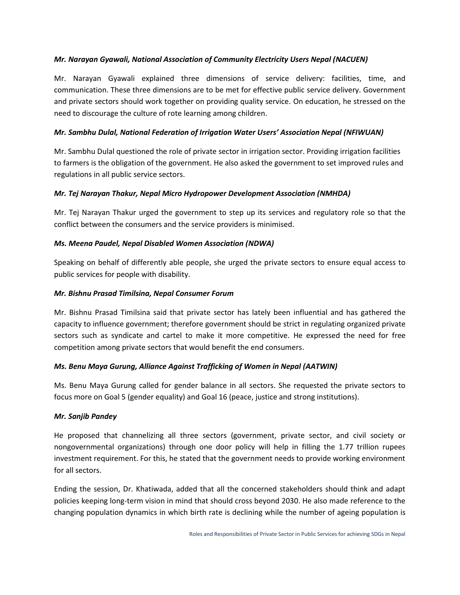#### *Mr. Narayan Gyawali, National Association of Community Electricity Users Nepal (NACUEN)*

Mr. Narayan Gyawali explained three dimensions of service delivery: facilities, time, and communication. These three dimensions are to be met for effective public service delivery. Government and private sectors should work together on providing quality service. On education, he stressed on the need to discourage the culture of rote learning among children.

#### *Mr. Sambhu Dulal, National Federation of Irrigation Water Users' Association Nepal (NFIWUAN)*

Mr. Sambhu Dulal questioned the role of private sector in irrigation sector. Providing irrigation facilities to farmers is the obligation of the government. He also asked the government to set improved rules and regulations in all public service sectors.

#### *Mr. Tej Narayan Thakur, Nepal Micro Hydropower Development Association (NMHDA)*

Mr. Tej Narayan Thakur urged the government to step up its services and regulatory role so that the conflict between the consumers and the service providers is minimised.

#### *Ms. Meena Paudel, Nepal Disabled Women Association (NDWA)*

Speaking on behalf of differently able people, she urged the private sectors to ensure equal access to public services for people with disability.

#### *Mr. Bishnu Prasad Timilsina, Nepal Consumer Forum*

Mr. Bishnu Prasad Timilsina said that private sector has lately been influential and has gathered the capacity to influence government; therefore government should be strict in regulating organized private sectors such as syndicate and cartel to make it more competitive. He expressed the need for free competition among private sectors that would benefit the end consumers.

#### *Ms. Benu Maya Gurung, Alliance Against Trafficking of Women in Nepal (AATWIN)*

Ms. Benu Maya Gurung called for gender balance in all sectors. She requested the private sectors to focus more on Goal 5 (gender equality) and Goal 16 (peace, justice and strong institutions).

#### *Mr. Sanjib Pandey*

He proposed that channelizing all three sectors (government, private sector, and civil society or nongovernmental organizations) through one door policy will help in filling the 1.77 trillion rupees investment requirement. For this, he stated that the government needs to provide working environment for all sectors.

Ending the session, Dr. Khatiwada, added that all the concerned stakeholders should think and adapt policies keeping long-term vision in mind that should cross beyond 2030. He also made reference to the changing population dynamics in which birth rate is declining while the number of ageing population is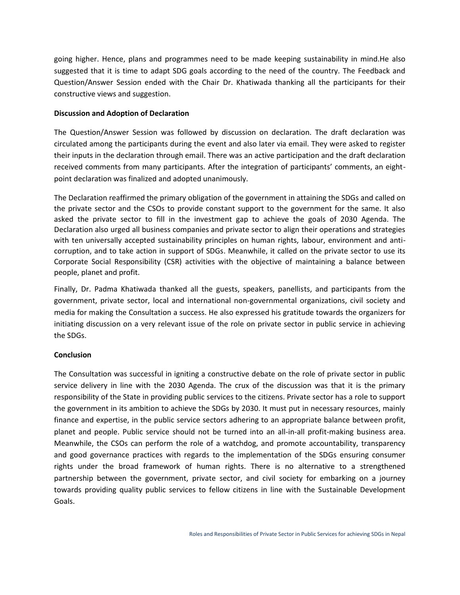going higher. Hence, plans and programmes need to be made keeping sustainability in mind.He also suggested that it is time to adapt SDG goals according to the need of the country. The Feedback and Question/Answer Session ended with the Chair Dr. Khatiwada thanking all the participants for their constructive views and suggestion.

#### **Discussion and Adoption of Declaration**

The Question/Answer Session was followed by discussion on declaration. The draft declaration was circulated among the participants during the event and also later via email. They were asked to register their inputs in the declaration through email. There was an active participation and the draft declaration received comments from many participants. After the integration of participants' comments, an eight point declaration was finalized and adopted unanimously.

The Declaration reaffirmed the primary obligation of the government in attaining the SDGs and called on the private sector and the CSOs to provide constant support to the government for the same. It also asked the private sector to fill in the investment gap to achieve the goals of 2030 Agenda. The Declaration also urged all business companies and private sector to align their operations and strategies with ten universally accepted sustainability principles on human rights, labour, environment and anti corruption, and to take action in support of SDGs. Meanwhile, it called on the private sector to use its Corporate Social Responsibility (CSR) activities with the objective of maintaining a balance between people, planet and profit.

Finally, Dr. Padma Khatiwada thanked all the guests, speakers, panellists, and participants from the government, private sector, local and international non-governmental organizations, civil society and media for making the Consultation a success. He also expressed his gratitude towards the organizers for initiating discussion on a very relevant issue of the role on private sector in public service in achieving the SDGs.

#### **Conclusion**

The Consultation was successful in igniting a constructive debate on the role of private sector in public service delivery in line with the 2030 Agenda. The crux of the discussion was that it is the primary responsibility of the State in providing public services to the citizens. Private sector has a role to support the government in its ambition to achieve the SDGs by 2030. It must put in necessary resources, mainly finance and expertise, in the public service sectors adhering to an appropriate balance between profit, planet and people. Public service should not be turned into an all-in-all profit-making business area. Meanwhile, the CSOs can perform the role of a watchdog, and promote accountability, transparency and good governance practices with regards to the implementation of the SDGs ensuring consumer rights under the broad framework of human rights. There is no alternative to a strengthened partnership between the government, private sector, and civil society for embarking on a journey towards providing quality public services to fellow citizens in line with the Sustainable Development Goals.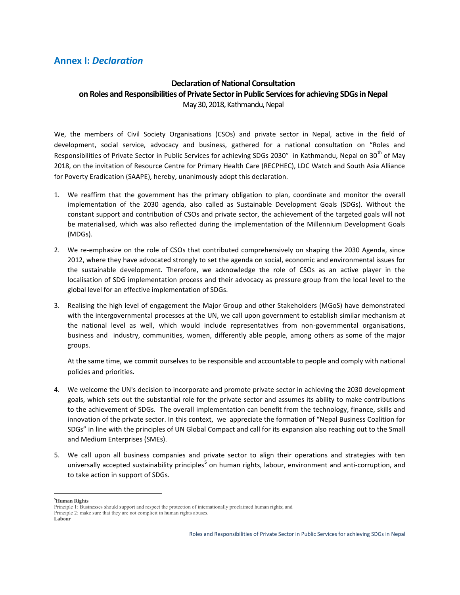#### **Declaration of National Consultation on Roles and Responsibilities of Private Sector in Public Services for achieving SDGs in Nepal** May 30, 2018, Kathmandu, Nepal

We, the members of Civil Society Organisations (CSOs) and private sector in Nepal, active in the field of development, social service, advocacy and business, gathered for a national consultation on "Roles and Responsibilities of Private Sector in Public Services for achieving SDGs 2030" in Kathmandu, Nepal on 30<sup>th</sup> of May 2018, on the invitation of Resource Centre for Primary Health Care (RECPHEC), LDC Watch and South Asia Alliance for Poverty Eradication (SAAPE), hereby, unanimously adopt this declaration.

- 1. We reaffirm that the government has the primary obligation to plan, coordinate and monitor the overall implementation of the 2030 agenda, also called as Sustainable Development Goals (SDGs). Without the constant support and contribution of CSOs and private sector, the achievement of the targeted goals will not be materialised, which was also reflected during the implementation of the Millennium Development Goals (MDGs).
- 2. We re-emphasize on the role of CSOs that contributed comprehensively on shaping the 2030 Agenda, since 2012, where they have advocated strongly to set the agenda on social, economic and environmental issues for the sustainable development. Therefore, we acknowledge the role of CSOs as an active player in the localisation of SDG implementation process and their advocacy as pressure group from the local level to the global level for an effective implementation of SDGs.
- 3. Realising the high level of engagement the Major Group and other Stakeholders (MGoS) have demonstrated with the intergovernmental processes at the UN, we call upon government to establish similar mechanism at the national level as well, which would include representatives from non-governmental organisations, business and industry, communities, women, differently able people, among others as some of the major groups.

At the same time, we commit ourselves to be responsible and accountable to people and comply with national policies and priorities.

- 4. We welcome the UN's decision to incorporate and promote private sector in achieving the 2030 development goals, which sets out the substantial role for the private sector and assumes its ability to make contributions to the achievement of SDGs. The overall implementation can benefit from the technology, finance, skills and innovation of the private sector. In this context, we appreciate the formation of "Nepal Business Coalition for SDGs" in line with the principles of UN Global Compact and call for its expansion also reaching out to the Small and Medium Enterprises (SMEs).
- 5. We call upon all business companies and private sector to align their operations and strategies with ten universally accepted sustainability principles<sup>5</sup> on human rights, labour, environment and anti-corruption, and to take action in support of SDGs.

**<sup>5</sup>Human Rights**

Principle 1: Businesses should support and respect the protection of internationally proclaimed human rights; and Principle 2: make sure that they are not complicit in human rights abuses. **Labour**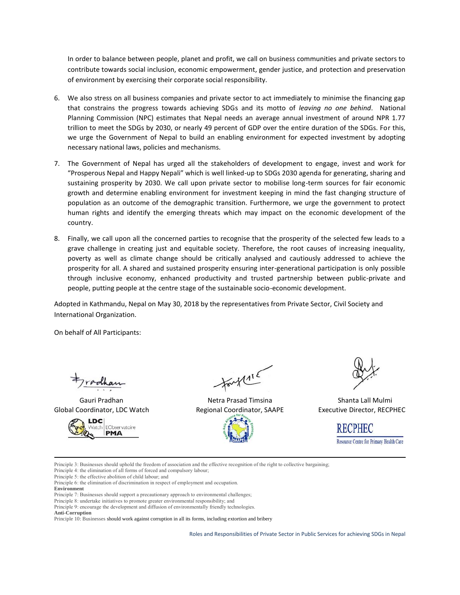In order to balance between people, planet and profit, we call on business communities and private sectors to contribute towards social inclusion, economic empowerment, gender justice, and protection and preservation of environment by exercising their corporate social responsibility.

- 6. We also stress on all business companies and private sector to act immediately to minimise the financing gap that constrains the progress towards achieving SDGs and its motto of *leaving no one behind*. National Planning Commission (NPC) estimates that Nepal needs an average annual investment of around NPR 1.77 trillion to meet the SDGs by 2030, or nearly 49 percent of GDP over the entire duration of the SDGs. For this, we urge the Government of Nepal to build an enabling environment for expected investment by adopting necessary national laws, policies and mechanisms.
- 7. The Government of Nepal has urged all the stakeholders of development to engage, invest and work for "Prosperous Nepal and Happy Nepali" which is well linked-up to SDGs 2030 agenda for generating, sharing and sustaining prosperity by 2030. We call upon private sector to mobilise long-term sources for fair economic growth and determine enabling environment for investment keeping in mind the fast changing structure of population as an outcome of the demographic transition. Furthermore, we urge the government to protect human rights and identify the emerging threats which may impact on the economic development of the country.
- 8. Finally, we call upon all the concerned parties to recognise that the prosperity of the selected few leads to a grave challenge in creating just and equitable society. Therefore, the root causes of increasing inequality, poverty as well as climate change should be critically analysed and cautiously addressed to achieve the prosperity for all. A shared and sustained prosperity ensuring inter-generational participation is only possible through inclusive economy, enhanced productivity and trusted partnership between public-private and people, putting people at the centre stage of the sustainable socio-economic development.

Adopted in Kathmandu, Nepal on May 30, 2018 by the representatives from Private Sector, Civil Society and International Organization.

On behalf of All Participants:

Global Coordinator, LDC Watch **Regional Coordinator, SAAPE** Executive Director, RECPHEC



fort 115

Gauri Pradhan Netra Prasad Timsina Netra Prasad Timsina Shanta Lall Mulmi

**RECPHEC** Resource Centre for Primary Health Care

Principle 3: Businesses should uphold the freedom of association and the effective recognition of the right to collective bargaining;

Principle 4: the elimination of all forms of forced and compulsory labour;

Principle 5: the effective abolition of child labour; and

Principle 6: the elimination of discrimination in respect of employment and occupation.

**Environment**

Principle 7: Businesses should support a precautionary approach to environmental challenges;

Principle 8: undertake initiatives to promote greater environmental responsibility; and

Principle 9: encourage the development and diffusion of environmentally friendly technologies.

**Anti-Corruption**

Principle 10: Businesses should work against corruption in all its forms, including extortion and bribery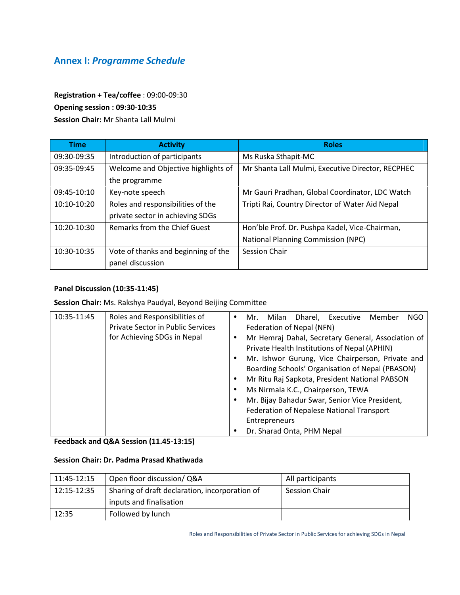# **Annex I:** *Programme Schedule*

#### **Registration + Tea/coffee** : 09:00-09:30

#### **Opening session : 09:30-10:35**

**Session Chair:** Mr Shanta Lall Mulmi

| <b>Time</b> | <b>Activity</b>                     | <b>Roles</b>                                      |  |
|-------------|-------------------------------------|---------------------------------------------------|--|
| 09:30-09:35 | Introduction of participants        | Ms Ruska Sthapit-MC                               |  |
| 09:35-09:45 | Welcome and Objective highlights of | Mr Shanta Lall Mulmi, Executive Director, RECPHEC |  |
|             | the programme                       |                                                   |  |
| 09:45-10:10 | Key-note speech                     | Mr Gauri Pradhan, Global Coordinator, LDC Watch   |  |
| 10:10-10:20 | Roles and responsibilities of the   | Tripti Rai, Country Director of Water Aid Nepal   |  |
|             | private sector in achieving SDGs    |                                                   |  |
| 10:20-10:30 | <b>Remarks from the Chief Guest</b> | Hon'ble Prof. Dr. Pushpa Kadel, Vice-Chairman,    |  |
|             |                                     | <b>National Planning Commission (NPC)</b>         |  |
| 10:30-10:35 | Vote of thanks and beginning of the | <b>Session Chair</b>                              |  |
|             | panel discussion                    |                                                   |  |

#### **Panel Discussion (10:35-11:45)**

### **Session Chair:** Ms. Rakshya Paudyal, Beyond Beijing Committee

| 10:35-11:45 | Roles and Responsibilities of<br><b>Private Sector in Public Services</b><br>for Achieving SDGs in Nepal | Dharel. Executive<br><b>NGO</b><br>Milan<br>Member<br>Mr.<br>٠<br>Federation of Nepal (NFN)<br>Mr Hemraj Dahal, Secretary General, Association of<br>Private Health Institutions of Nepal (APHIN)<br>Mr. Ishwor Gurung, Vice Chairperson, Private and<br>Boarding Schools' Organisation of Nepal (PBASON)<br>Mr Ritu Raj Sapkota, President National PABSON<br>٠<br>Ms Nirmala K.C., Chairperson, TEWA<br>Mr. Bijay Bahadur Swar, Senior Vice President,<br>Federation of Nepalese National Transport |
|-------------|----------------------------------------------------------------------------------------------------------|-------------------------------------------------------------------------------------------------------------------------------------------------------------------------------------------------------------------------------------------------------------------------------------------------------------------------------------------------------------------------------------------------------------------------------------------------------------------------------------------------------|
|             |                                                                                                          | <b>Entrepreneurs</b><br>Dr. Sharad Onta, PHM Nepal                                                                                                                                                                                                                                                                                                                                                                                                                                                    |

**Feedback and Q&A Session (11.45-13:15)**

#### **Session Chair: Dr. Padma Prasad Khatiwada**

| 11:45-12:15 | Open floor discussion/ Q&A                     | All participants     |
|-------------|------------------------------------------------|----------------------|
| 12:15-12:35 | Sharing of draft declaration, incorporation of | <b>Session Chair</b> |
|             | inputs and finalisation                        |                      |
| 12:35       | Followed by lunch                              |                      |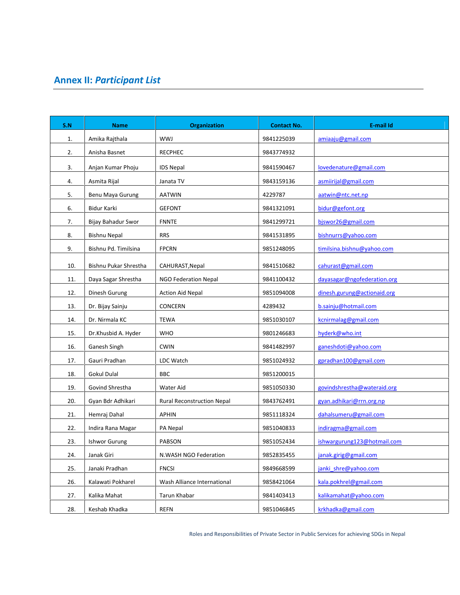# **Annex II:** *Participant List*

| S.N | <b>Name</b>           | <b>Organization</b>         | <b>Contact No.</b> | <b>E-mail Id</b>            |
|-----|-----------------------|-----------------------------|--------------------|-----------------------------|
| 1.  | Amika Rajthala        | WWJ                         | 9841225039         | amiaaju@gmail.com           |
| 2.  | Anisha Basnet         | <b>RECPHEC</b>              | 9843774932         |                             |
| 3.  | Anjan Kumar Phoju     | <b>IDS Nepal</b>            | 9841590467         | lovedenature@gmail.com      |
| 4.  | Asmita Rijal          | Janata TV                   | 9843159136         | asmiirijal@gmail.com        |
| 5.  | Benu Maya Gurung      | <b>AATWIN</b>               | 4229787            | aatwin@ntc.net.np           |
| 6.  | Bidur Karki           | <b>GEFONT</b>               | 9841321091         | bidur@gefont.org            |
| 7.  | Bijay Bahadur Swor    | <b>FNNTE</b>                | 9841299721         | bjswor26@gmail.com          |
| 8.  | <b>Bishnu Nepal</b>   | <b>RRS</b>                  | 9841531895         | bishnurrs@yahoo.com         |
| 9.  | Bishnu Pd. Timilsina  | <b>FPCRN</b>                | 9851248095         | timilsina.bishnu@yahoo.com  |
| 10. | Bishnu Pukar Shrestha | CAHURAST, Nepal             | 9841510682         | cahurast@gmail.com          |
| 11. | Daya Sagar Shrestha   | NGO Federation Nepal        | 9841100432         | dayasagar@ngofederation.org |
| 12. | Dinesh Gurung         | <b>Action Aid Nepal</b>     | 9851094008         | dinesh.gurung@actionaid.org |
| 13. | Dr. Bijay Sainju      | <b>CONCERN</b>              | 4289432            | b.sainju@hotmail.com        |
| 14. | Dr. Nirmala KC        | <b>TEWA</b>                 | 9851030107         | kcnirmalag@gmail.com        |
| 15. | Dr.Khusbid A. Hyder   | <b>WHO</b>                  | 9801246683         | hyderk@who.int              |
| 16. | Ganesh Singh          | <b>CWIN</b>                 | 9841482997         | ganeshdoti@yahoo.com        |
| 17. | Gauri Pradhan         | LDC Watch                   | 9851024932         | gpradhan100@gmail.com       |
| 18. | Gokul Dulal           | <b>BBC</b>                  | 9851200015         |                             |
| 19. | Govind Shrestha       | Water Aid                   | 9851050330         | govindshrestha@wateraid.org |
| 20. | Gyan Bdr Adhikari     | Rural Reconstruction Nepal  | 9843762491         | gyan.adhikari@rrn.org.np    |
| 21. | Hemraj Dahal          | <b>APHIN</b>                | 9851118324         | dahalsumeru@gmail.com       |
| 22. | Indira Rana Magar     | PA Nepal                    | 9851040833         | indiragma@gmail.com         |
| 23. | <b>Ishwor Gurung</b>  | PABSON                      | 9851052434         | ishwargurung123@hotmail.com |
| 24. | Janak Giri            | N.WASH NGO Federation       | 9852835455         | janak.girig@gmail.com       |
| 25. | Janaki Pradhan        | <b>FNCSI</b>                | 9849668599         | janki shre@yahoo.com        |
| 26. | Kalawati Pokharel     | Wash Alliance International | 9858421064         | kala.pokhrel@gmail.com      |
| 27. | Kalika Mahat          | Tarun Khabar                | 9841403413         | kalikamahat@yahoo.com       |
| 28. | Keshab Khadka         | <b>REFN</b>                 | 9851046845         | krkhadka@gmail.com          |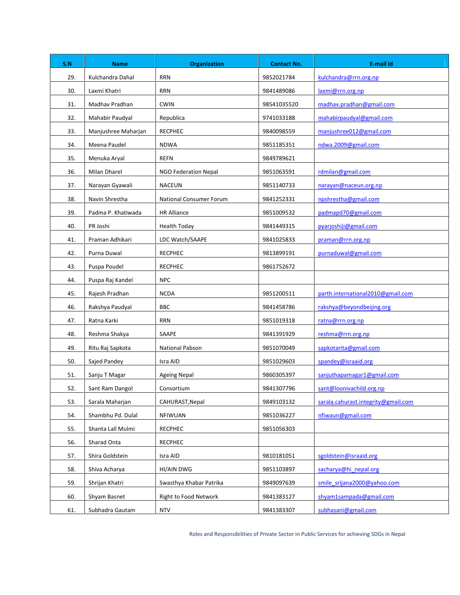| S.N | <b>Name</b>         | <b>Organization</b>            | <b>Contact No.</b> | <b>E-mail Id</b>                    |
|-----|---------------------|--------------------------------|--------------------|-------------------------------------|
| 29. | Kulchandra Dahal    | <b>RRN</b>                     | 9852021784         | kulchandra@rrn.org.np               |
| 30. | Laxmi Khatri        | <b>RRN</b>                     | 9841489086         | laxmi@rrn.org.np                    |
| 31. | Madhav Pradhan      | <b>CWIN</b>                    | 98541035520        | madhav.pradhan@gmail.com            |
| 32. | Mahabir Paudyal     | Republica                      | 9741033188         | mahabirpaudyal@gmail.com            |
| 33. | Manjushree Maharjan | <b>RECPHEC</b>                 | 9840098559         | manjushree012@gmail.com             |
| 34. | Meena Paudel        | <b>NDWA</b>                    | 9851185351         | ndwa.2009@gmail.com                 |
| 35. | Menuka Aryal        | <b>REFN</b>                    | 9849789621         |                                     |
| 36. | Milan Dharel        | NGO Federation Nepal           | 9851063591         | rdmilan@gmail.com                   |
| 37. | Narayan Gyawali     | <b>NACEUN</b>                  | 9851140733         | narayan@naceun.org.np               |
| 38. | Navin Shrestha      | <b>National Consumer Forum</b> | 9841252331         | npshrestha@gmail.com                |
| 39. | Padma P. Khatiwada  | <b>HR Alliance</b>             | 9851009532         | padmapd70@gmail.com                 |
| 40. | PR Joshi            | <b>Health Today</b>            | 9841449315         | pyarjoshiji@gmail.com               |
| 41. | Praman Adhikari     | LDC Watch/SAAPE                | 9841025833         | praman@rrn.org.np                   |
| 42. | Purna Duwal         | <b>RECPHEC</b>                 | 9813899191         | purnaduwal@gmail.com                |
| 43. | Puspa Poudel        | <b>RECPHEC</b>                 | 9861752672         |                                     |
| 44. | Puspa Raj Kandel    | <b>NPC</b>                     |                    |                                     |
| 45. | Rajesh Pradhan      | <b>NCDA</b>                    | 9851200511         | parth.international2010@gmail.com   |
| 46. | Rakshya Paudyal     | <b>BBC</b>                     | 9841458786         | rakshya@beyondbeijing.org           |
| 47. | Ratna Karki         | <b>RRN</b>                     | 9851019318         | ratna@rrn.org.np                    |
| 48. | Reshma Shakya       | SAAPE                          | 9841391929         | reshma@rrn.org.np                   |
| 49. | Ritu Raj Sapkota    | <b>National Pabson</b>         | 9851070049         | sapkotarita@gmail.com               |
| 50. | Sajed Pandey        | Isra AID                       | 9851029603         | spandey@israaid.org                 |
| 51. | Sanju T Magar       | <b>Ageing Nepal</b>            | 9860305397         | sanjuthapamagar1@gmail.com          |
| 52. | Sant Ram Dangol     | Consortium                     | 9841307796         | sant@loonivachild.org.np            |
| 53. | Sarala Maharjan     | CAHURAST, Nepal                | 9849103132         | sarala.cahurast.integrity@gmail.com |
| 54. | Shambhu Pd. Dulal   | <b>NFIWUAN</b>                 | 9851036227         | nfiwaun@gmail.com                   |
| 55. | Shanta Lall Mulmi   | <b>RECPHEC</b>                 | 9851056303         |                                     |
| 56. | Sharad Onta         | <b>RECPHEC</b>                 |                    |                                     |
| 57. | Shira Goldstein     | Isra AID                       | 9810181051         | sgoldstein@israaid.org              |
| 58. | Shiva Acharya       | HI/AIN DWG                     | 9851103897         | sacharya@hi nepal.org               |
| 59. | Shrijan Khatri      | Swasthya Khabar Patrika        | 9849097639         | smile srijana2000@yahoo.com         |
| 60. | Shyam Basnet        | <b>Right to Food Network</b>   | 9841383127         | shyam1sampada@gmail.com             |
| 61. | Subhadra Gautam     | <b>NTV</b>                     | 9841383307         | subhasani@gmail.com                 |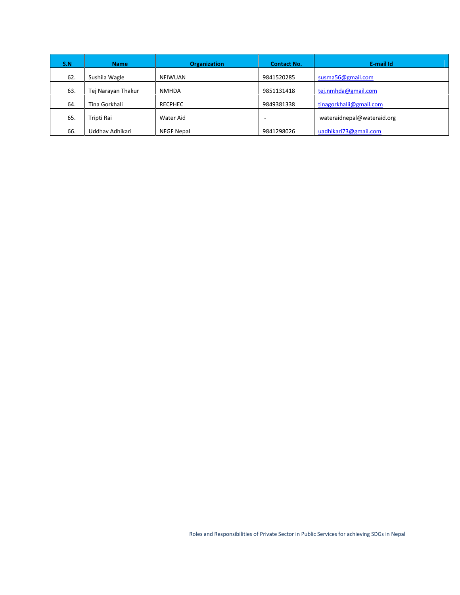| S.N | <b>Name</b>        | <b>Organization</b> | <b>Contact No.</b>       | E-mail Id                  |
|-----|--------------------|---------------------|--------------------------|----------------------------|
| 62. | Sushila Wagle      | <b>NFIWUAN</b>      | 9841520285               | susma56@gmail.com          |
| 63. | Tej Narayan Thakur | <b>NMHDA</b>        | 9851131418               | tej.nmhda@gmail.com        |
| 64. | Tina Gorkhali      | <b>RECPHEC</b>      | 9849381338               | tinagorkhalii@gmail.com    |
| 65. | Tripti Rai         | Water Aid           | $\overline{\phantom{a}}$ | wateraidnepal@wateraid.org |
| 66. | Uddhav Adhikari    | <b>NFGF Nepal</b>   | 9841298026               | uadhikari73@gmail.com      |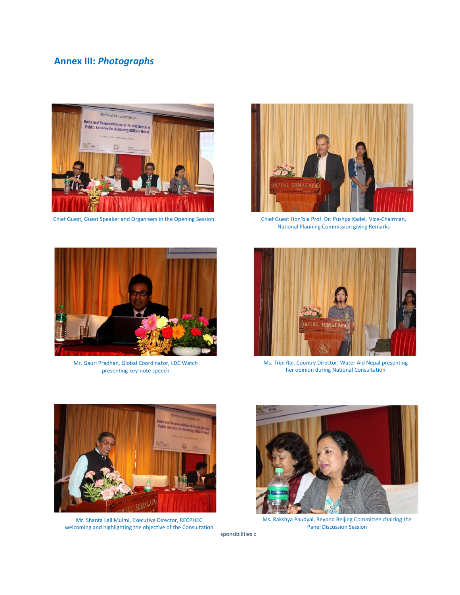# **Annex III:** *Photographs*





Mr. Gauri Pradhan, Global Coordinator, LDC Watch presenting key-note speech



Chief Guest, Guest Speaker and Organisers in the Opening Session Chief Guest Hon'ble Prof. Dr. Pushpa Kadel, Vice-Chairman, National Planning Commission giving Remarks



Ms. Tripi Rai, Country Director, Water Aid Nepal presenting her opinion during National Consultation



Mr. Shanta Lall Mulmi, Executive Director, RECPHEC welcoming and highlighting the objective of the Consultation



Ms. Rakshya Paudyal, Beyond Beijing Committee chairing the Panel Discussion Session

sponsibilities of